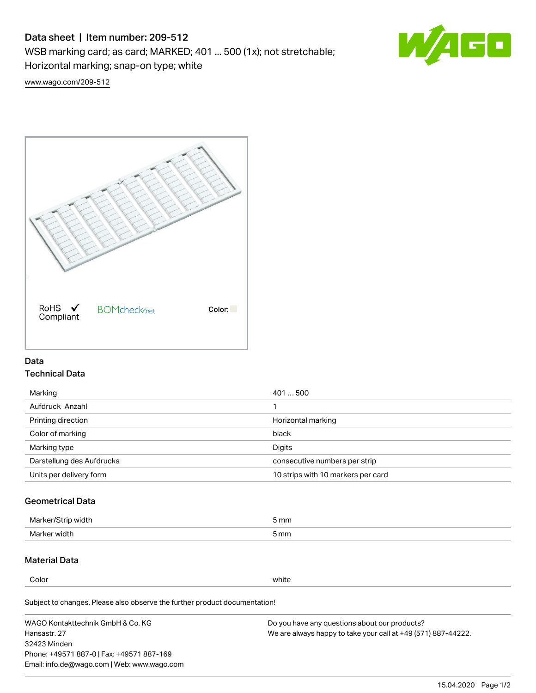# Data sheet | Item number: 209-512

WSB marking card; as card; MARKED; 401 ... 500 (1x); not stretchable;

Horizontal marking; snap-on type; white



[www.wago.com/209-512](http://www.wago.com/209-512)



### Data Technical Data

| 401500                             |
|------------------------------------|
|                                    |
| Horizontal marking                 |
| black                              |
| Digits                             |
| consecutive numbers per strip      |
| 10 strips with 10 markers per card |
|                                    |

## Geometrical Data

| Marker.<br>width | 5 mm |
|------------------|------|
| Marker width     | 5 mm |

## Material Data

Color white

Subject to changes. Please also observe the further product documentation!

WAGO Kontakttechnik GmbH & Co. KG Hansastr. 27 32423 Minden Phone: +49571 887-0 | Fax: +49571 887-169 Email: info.de@wago.com | Web: www.wago.com Do you have any questions about our products? We are always happy to take your call at +49 (571) 887-44222.